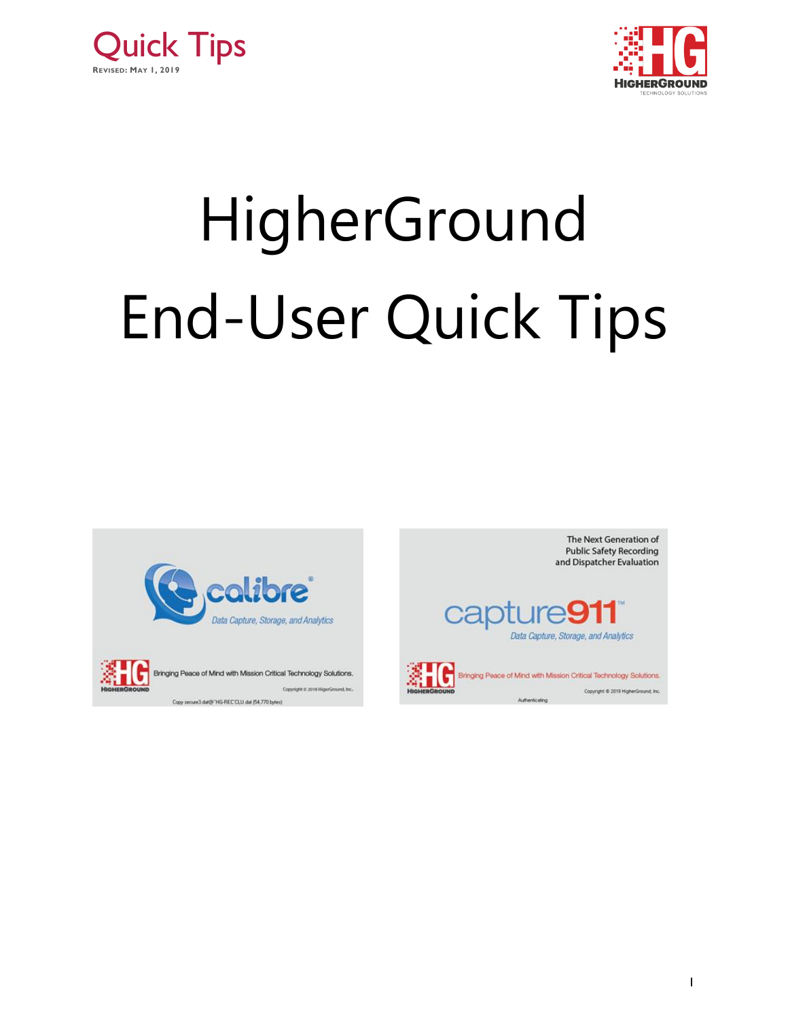



# HigherGround End-User Quick Tips



Copy secure3.dat@"HG-REC'CLU.dat (54,770 bytes)

The Next Generation of **Public Safety Recording** and Dispatcher Evaluation





Copyright @ 2019 HigherGround, Inc.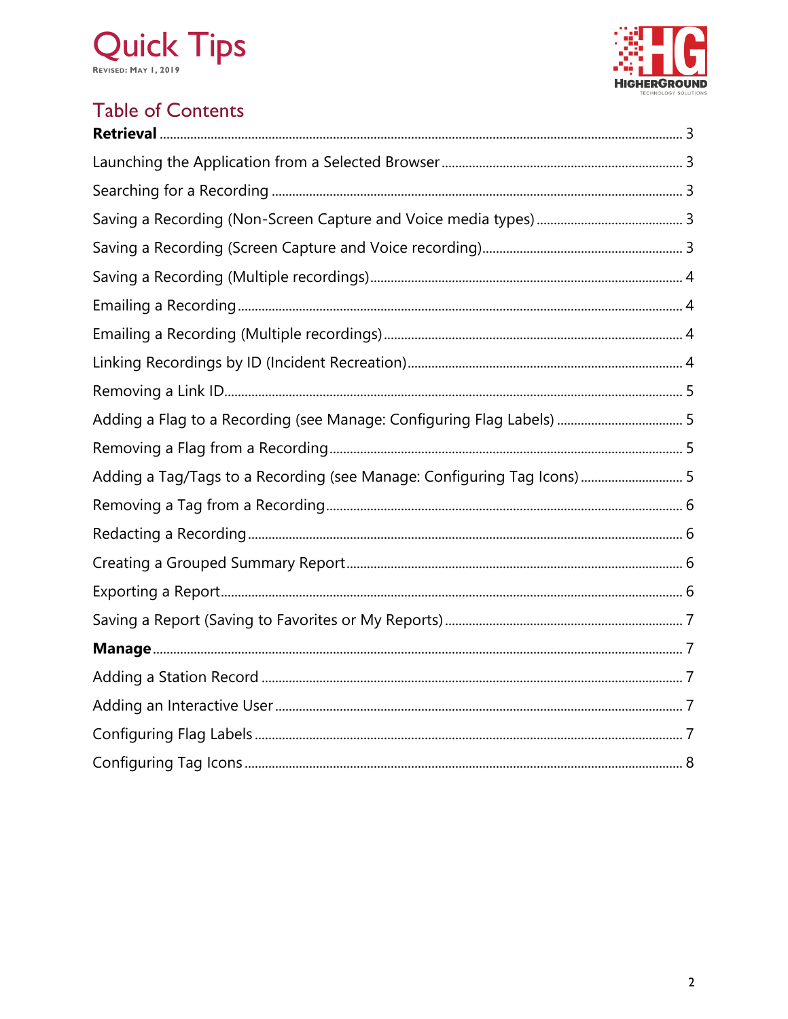



## **Table of Contents**

<span id="page-1-0"></span>

| Adding a Tag/Tags to a Recording (see Manage: Configuring Tag Icons) 5 |  |
|------------------------------------------------------------------------|--|
|                                                                        |  |
|                                                                        |  |
|                                                                        |  |
|                                                                        |  |
|                                                                        |  |
|                                                                        |  |
|                                                                        |  |
|                                                                        |  |
|                                                                        |  |
|                                                                        |  |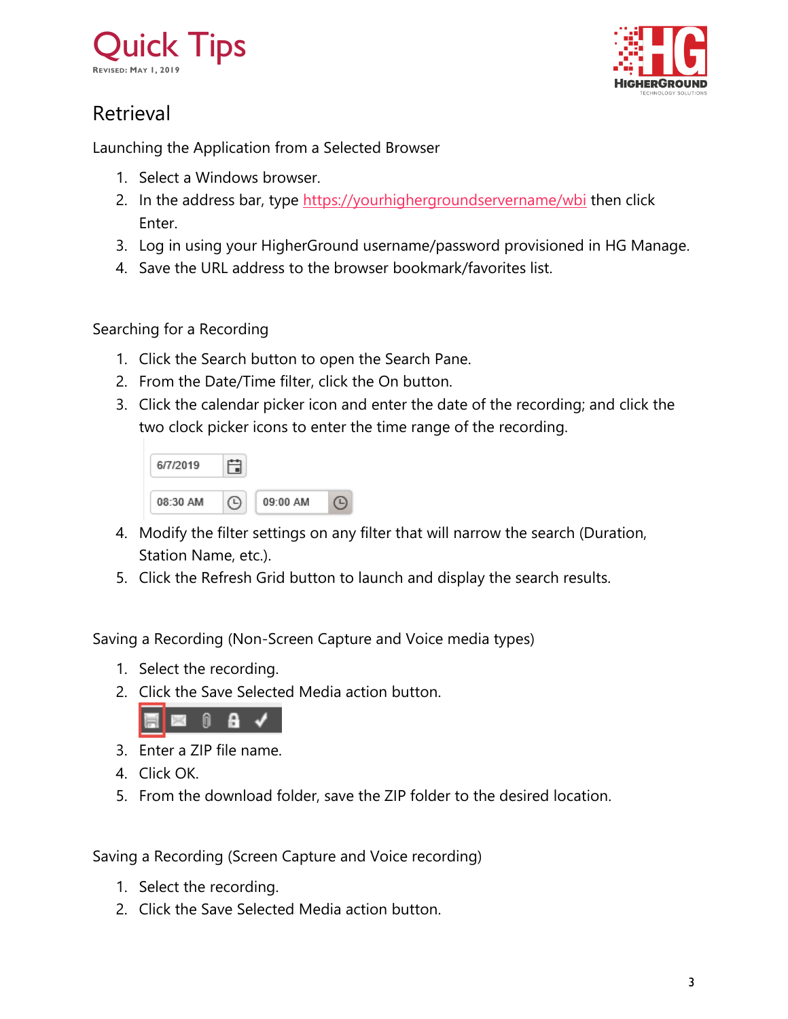



## Retrieval

<span id="page-2-0"></span>Launching the Application from a Selected Browser

- 1. Select a Windows browser.
- 2. In the address bar, type<https://yourhighergroundservername/wbi> then click Enter.
- 3. Log in using your HigherGround username/password provisioned in HG Manage.
- 4. Save the URL address to the browser bookmark/favorites list.

#### <span id="page-2-1"></span>Searching for a Recording

- 1. Click the Search button to open the Search Pane.
- 2. From the Date/Time filter, click the On button.
- 3. Click the calendar picker icon and enter the date of the recording; and click the two clock picker icons to enter the time range of the recording.

| 6/7/2019 |          |  |
|----------|----------|--|
| 08:30 AM | 09:00 AM |  |

- 4. Modify the filter settings on any filter that will narrow the search (Duration, Station Name, etc.).
- 5. Click the Refresh Grid button to launch and display the search results.

<span id="page-2-2"></span>Saving a Recording (Non-Screen Capture and Voice media types)

- 1. Select the recording.
- 2. Click the Save Selected Media action button.



- 3. Enter a ZIP file name.
- 4. Click OK.
- 5. From the download folder, save the ZIP folder to the desired location.

<span id="page-2-3"></span>Saving a Recording (Screen Capture and Voice recording)

- 1. Select the recording.
- 2. Click the Save Selected Media action button.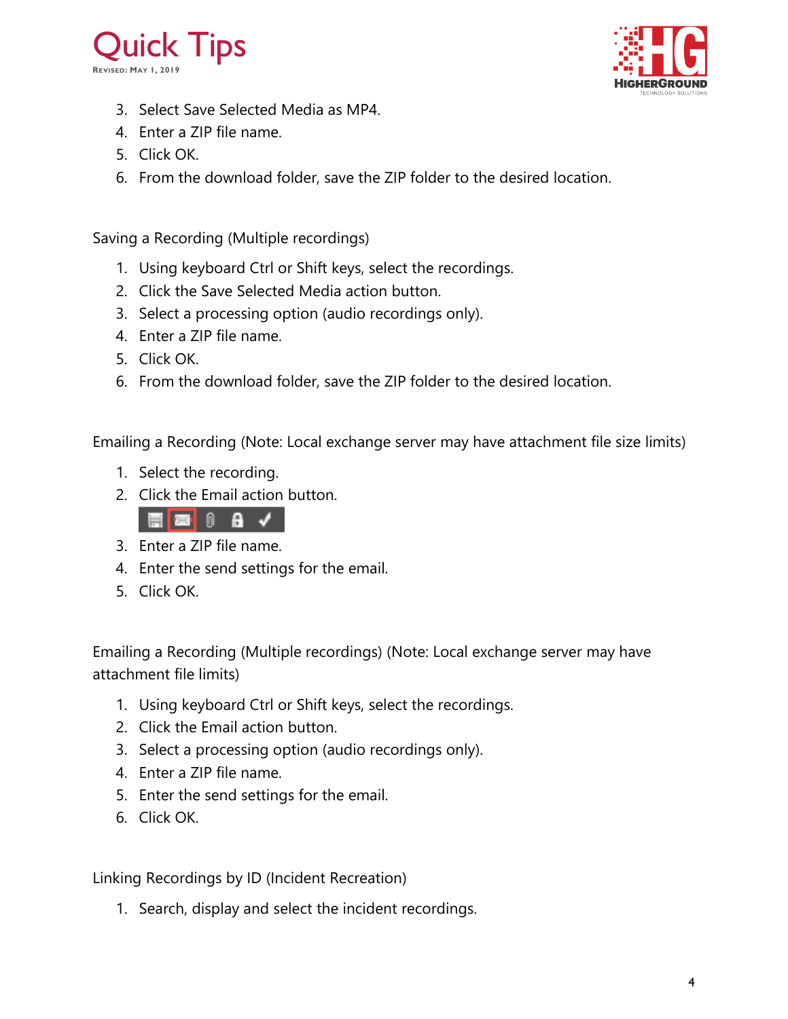



- 3. Select Save Selected Media as MP4.
- 4. Enter a ZIP file name.
- 5. Click OK.
- 6. From the download folder, save the ZIP folder to the desired location.

<span id="page-3-0"></span>Saving a Recording (Multiple recordings)

- 1. Using keyboard Ctrl or Shift keys, select the recordings.
- 2. Click the Save Selected Media action button.
- 3. Select a processing option (audio recordings only).
- 4. Enter a ZIP file name.
- 5. Click OK.
- 6. From the download folder, save the ZIP folder to the desired location.

<span id="page-3-1"></span>Emailing a Recording (Note: Local exchange server may have attachment file size limits)

- 1. Select the recording.
- 2. Click the Email action button.



- 3. Enter a ZIP file name.
- 4. Enter the send settings for the email.
- 5. Click OK.

<span id="page-3-2"></span>Emailing a Recording (Multiple recordings) (Note: Local exchange server may have attachment file limits)

- 1. Using keyboard Ctrl or Shift keys, select the recordings.
- 2. Click the Email action button.
- 3. Select a processing option (audio recordings only).
- 4. Enter a ZIP file name.
- 5. Enter the send settings for the email.
- 6. Click OK.

<span id="page-3-3"></span>Linking Recordings by ID (Incident Recreation)

1. Search, display and select the incident recordings.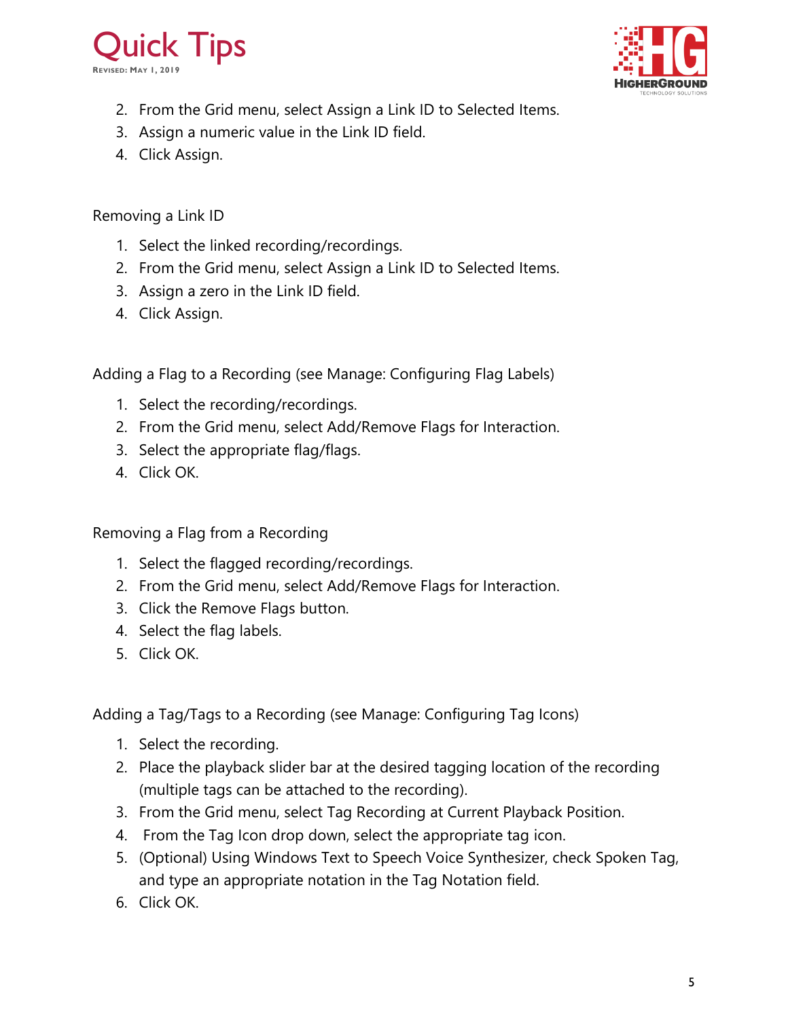



- 2. From the Grid menu, select Assign a Link ID to Selected Items.
- 3. Assign a numeric value in the Link ID field.
- 4. Click Assign.

<span id="page-4-0"></span>Removing a Link ID

- 1. Select the linked recording/recordings.
- 2. From the Grid menu, select Assign a Link ID to Selected Items.
- 3. Assign a zero in the Link ID field.
- 4. Click Assign.

<span id="page-4-1"></span>Adding a Flag to a Recording (see Manage: Configuring Flag Labels)

- 1. Select the recording/recordings.
- 2. From the Grid menu, select Add/Remove Flags for Interaction.
- 3. Select the appropriate flag/flags.
- 4. Click OK.

<span id="page-4-2"></span>Removing a Flag from a Recording

- 1. Select the flagged recording/recordings.
- 2. From the Grid menu, select Add/Remove Flags for Interaction.
- 3. Click the Remove Flags button.
- 4. Select the flag labels.
- 5. Click OK.

<span id="page-4-3"></span>Adding a Tag/Tags to a Recording (see Manage: Configuring Tag Icons)

- 1. Select the recording.
- 2. Place the playback slider bar at the desired tagging location of the recording (multiple tags can be attached to the recording).
- 3. From the Grid menu, select Tag Recording at Current Playback Position.
- 4. From the Tag Icon drop down, select the appropriate tag icon.
- 5. (Optional) Using Windows Text to Speech Voice Synthesizer, check Spoken Tag, and type an appropriate notation in the Tag Notation field.
- 6. Click OK.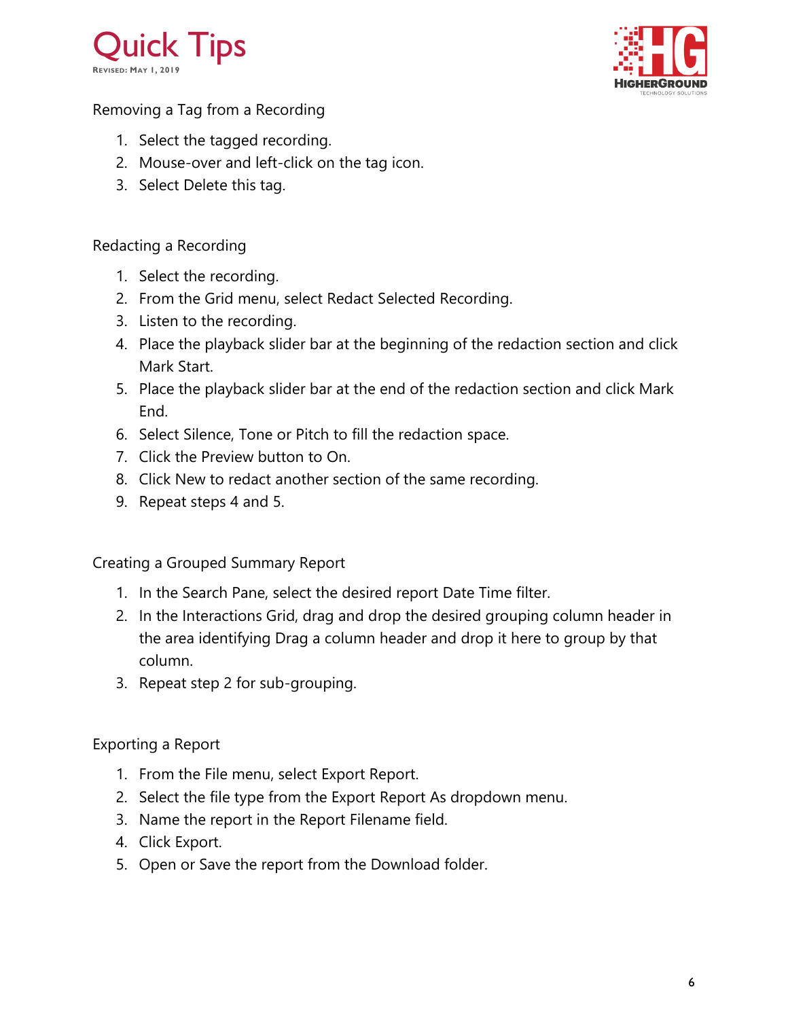



<span id="page-5-0"></span>Removing a Tag from a Recording

- 1. Select the tagged recording.
- 2. Mouse-over and left-click on the tag icon.
- 3. Select Delete this tag.

#### <span id="page-5-1"></span>Redacting a Recording

- 1. Select the recording.
- 2. From the Grid menu, select Redact Selected Recording.
- 3. Listen to the recording.
- 4. Place the playback slider bar at the beginning of the redaction section and click Mark Start.
- 5. Place the playback slider bar at the end of the redaction section and click Mark End.
- 6. Select Silence, Tone or Pitch to fill the redaction space.
- 7. Click the Preview button to On.
- 8. Click New to redact another section of the same recording.
- 9. Repeat steps 4 and 5.

<span id="page-5-2"></span>Creating a Grouped Summary Report

- 1. In the Search Pane, select the desired report Date Time filter.
- 2. In the Interactions Grid, drag and drop the desired grouping column header in the area identifying Drag a column header and drop it here to group by that column.
- 3. Repeat step 2 for sub-grouping.

#### <span id="page-5-3"></span>Exporting a Report

- 1. From the File menu, select Export Report.
- 2. Select the file type from the Export Report As dropdown menu.
- 3. Name the report in the Report Filename field.
- 4. Click Export.
- 5. Open or Save the report from the Download folder.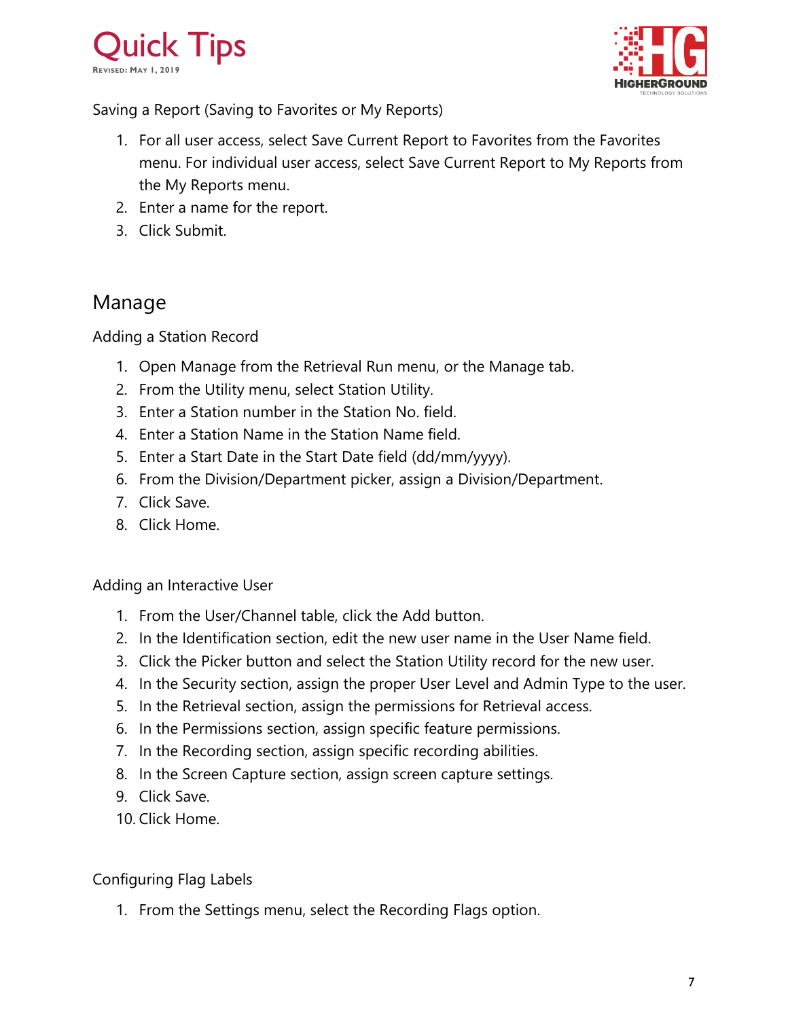



<span id="page-6-0"></span>Saving a Report (Saving to Favorites or My Reports)

- 1. For all user access, select Save Current Report to Favorites from the Favorites menu. For individual user access, select Save Current Report to My Reports from the My Reports menu.
- 2. Enter a name for the report.
- 3. Click Submit.

### <span id="page-6-1"></span>Manage

<span id="page-6-2"></span>Adding a Station Record

- 1. Open Manage from the Retrieval Run menu, or the Manage tab.
- 2. From the Utility menu, select Station Utility.
- 3. Enter a Station number in the Station No. field.
- 4. Enter a Station Name in the Station Name field.
- 5. Enter a Start Date in the Start Date field (dd/mm/yyyy).
- 6. From the Division/Department picker, assign a Division/Department.
- 7. Click Save.
- 8. Click Home.

<span id="page-6-3"></span>Adding an Interactive User

- 1. From the User/Channel table, click the Add button.
- 2. In the Identification section, edit the new user name in the User Name field.
- 3. Click the Picker button and select the Station Utility record for the new user.
- 4. In the Security section, assign the proper User Level and Admin Type to the user.
- 5. In the Retrieval section, assign the permissions for Retrieval access.
- 6. In the Permissions section, assign specific feature permissions.
- 7. In the Recording section, assign specific recording abilities.
- 8. In the Screen Capture section, assign screen capture settings.
- 9. Click Save.
- 10. Click Home.

#### <span id="page-6-4"></span>Configuring Flag Labels

1. From the Settings menu, select the Recording Flags option.